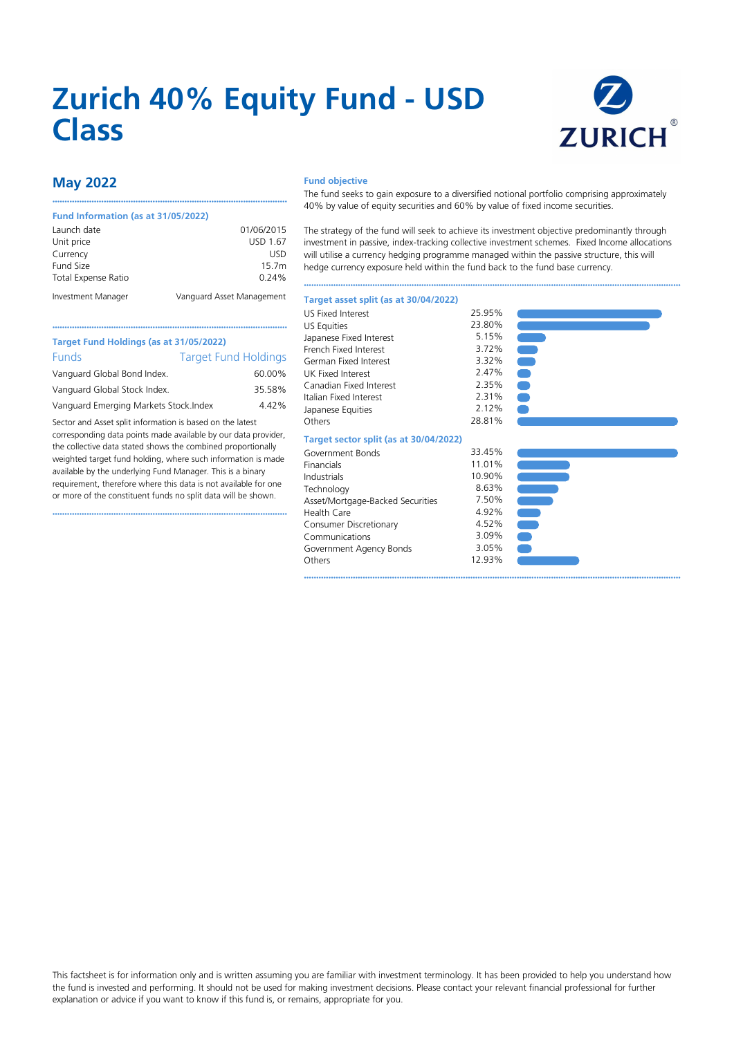# **Zurich 40% Equity Fund - USD Class**



# **May 2022**

#### **Fund Information (as at 31/05/2022)**

| Launch date                | 01/06/2015                |
|----------------------------|---------------------------|
| Unit price                 | USD 1.67                  |
| Currency                   | USD                       |
| Fund Size                  | 15.7m                     |
| <b>Total Expense Ratio</b> | $0.24\%$                  |
| Investment Manager         | Vanguard Asset Management |

••••••••••••••••••••••••••••••••••••••••••••••••••••••••••••••••••••••••••••••••••••••••••••••••

#### **Fund objective**

The fund seeks to gain exposure to a diversified notional portfolio comprising approximately 40% by value of equity securities and 60% by value of fixed income securities.

The strategy of the fund will seek to achieve its investment objective predominantly through investment in passive, index-tracking collective investment schemes. Fixed Income allocations will utilise a currency hedging programme managed within the passive structure, this will hedge currency exposure held within the fund back to the fund base currency.

••••••••••••••••••••••••••••••••••••••••••••••••••••••••••••••••••••••••••••••••••••••••••••••••••••••••••••••••••••••••••••••••••••••••••••••••••••••••••

#### **Target asset split (as at 30/04/2022)**

| Target Fund Holdings (as at 31/05/2022) |                             |  |  |
|-----------------------------------------|-----------------------------|--|--|
| <b>Funds</b>                            | <b>Target Fund Holdings</b> |  |  |
| Vanguard Global Bond Index.             | 60.00%                      |  |  |
| Vanguard Global Stock Index.            | 35.58%                      |  |  |
| Vanguard Emerging Markets Stock. Index  | 4.42%                       |  |  |

Sector and Asset split information is based on the latest corresponding data points made available by our data provider, the collective data stated shows the combined proportionally weighted target fund holding, where such information is made available by the underlying Fund Manager. This is a binary requirement, therefore where this data is not available for one or more of the constituent funds no split data will be shown.

••••••••••••••••••••••••••••••••••••••••••••••••••••••••••••••••••••••••••••••••••••••••••••••••

| <b>US Fixed Interest</b> | 25.95% |
|--------------------------|--------|
| <b>US Equities</b>       | 23.80% |
| Japanese Fixed Interest  | 5.15%  |
| French Fixed Interest    | 3.72%  |
| German Fixed Interest    | 3.32%  |
| UK Fixed Interest        | 2.47%  |
| Canadian Fixed Interest  | 2.35%  |
| Italian Fixed Interest   | 2.31%  |
| Japanese Equities        | 2.12%  |
| Others                   | 28.81% |
|                          |        |

### **Target sector split (as at 30/04/2022)**

| Government Bonds                 | 33.45% |
|----------------------------------|--------|
| Financials                       | 11.01% |
| Industrials                      | 10.90% |
| Technology                       | 8.63%  |
| Asset/Mortgage-Backed Securities | 7.50%  |
| Health Care                      | 4.92%  |
| Consumer Discretionary           | 4.52%  |
| Communications                   | 3.09%  |
| Government Agency Bonds          | 3.05%  |
| Others                           | 12.93% |
|                                  |        |